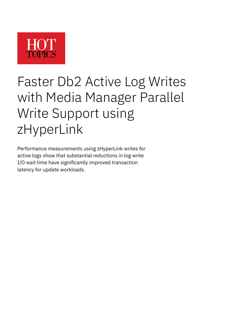

# Faster Db2 Active Log Writes with Media Manager Parallel Write Support using zHyperLink

Performance measurements using zHyperLink writes for active logs show that substantial reductions in log write I/O wait time have significantly improved transaction latency for update workloads.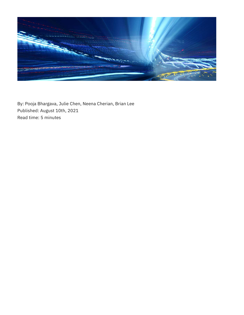

By: Pooja Bhargava, Julie Chen, Neena Cherian, Brian Lee Published: August 10th, 2021 Read time: 5 minutes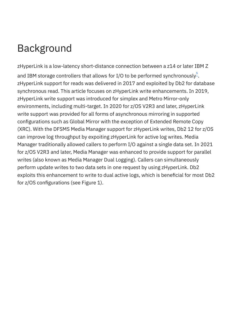# Background

<span id="page-2-0"></span>zHyperLink is a low-latency short-distance connection between a z14 or later IBM Z and IBM storage controllers that allows for I/O to be performed synchronously $\stackrel{1}{\rule{0pt}{0.5pt}}$  . zHyperLink support for reads was delivered in 2017 and exploited by Db2 for database synchronous read. This article focuses on zHyperLink write enhancements. In 2019, zHyperLink write support was introduced for simplex and Metro Mirror-only environments, including multi-target. In 2020 for z/OS V2R3 and later, zHyperLink write support was provided for all forms of asynchronous mirroring in supported configurations such as Global Mirror with the exception of Extended Remote Copy (XRC). With the DFSMS Media Manager support for zHyperLink writes, Db2 12 for z/OS can improve log throughput by expoiting zHyperLink for active log writes. Media Manager traditionally allowed callers to perform I/O against a single data set. In 2021 for z/OS V2R3 and later, Media Manager was enhanced to provide support for parallel writes (also known as Media Manager Dual Logging). Callers can simultaneously perform update writes to two data sets in one request by using zHyperLink. Db2 exploits this enhancement to write to dual active logs, which is beneficial for most Db2 for z/OS configurations (see Figure 1).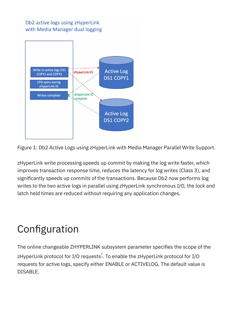#### Db2 active logs using zHyperLink with Media Manager dual logging



Figure 1: Db2 Active Logs using zHyperLink with Media Manager Parallel Write Support.

zHyperLink write processing speeds up commit by making the log write faster, which improves transaction response time, reduces the latency for log writes (Class 3), and significantly speeds up commits of the transactions. Because Db2 now performs log writes to the two active logs in parallel using zHyperLink synchronous I/O, the lock and latch held times are reduced without requiring any application changes.

## Configuration

<span id="page-3-0"></span>The online changeable ZHYPERLINK subsystem parameter specifies the scope of the zHyperLink protocol for I/O requests $\stackrel{2}{\text{-}}.$  To enable the zHyperLink protocol for I/O requests for active logs, specify either ENABLE or ACTIVELOG. The default value is DISABLE.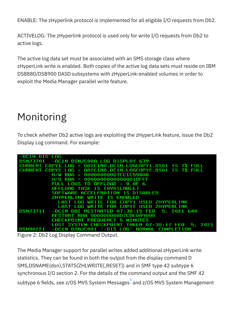ENABLE: The zHyperlink protocol is implemented for all eligible I/O requests from Db2.

ACTIVELOG: The zHyperlink protocol is used only for write I/O requests from Db2 to active logs.

The active log data set must be associated with an SMS storage class where zHyperLink write is enabled. Both copies of the active log data sets must reside on IBM DS8880/DS8900 DASD subsystems with zHyperLink-enabled volumes in order to exploit the Media Manager parallel write feature.

### Monitoring

To check whether Db2 active logs are exploiting the zHyperLink feature, issue the Db2 Display Log command. For example:



Figure 2: Db2 Log Display Command Output.

<span id="page-4-0"></span>The Media Manager support for parallel writes added additional zHyperLink write statistics. They can be found in both the output from the display command D SMS,DSNAME(dsn),STATS(ZHLWRITE{,RESET}) and in SMF type 42 subtype 6 synchronous I/O section 2. For the details of the command output and the SMF 42 subtype 6 fields, see z/OS MVS System Messages<sup>3</sup> and z/OS MVS System Management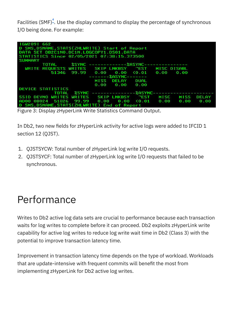<span id="page-5-0"></span>Facilities (SMF) $\stackrel{4}{\text{-}}.$  $\stackrel{4}{\text{-}}.$  $\stackrel{4}{\text{-}}.$  Use the display command to display the percentage of synchronous I/O being done. For example:

| IGW289I 662                                               |             |                      |  |  |  |              |
|-----------------------------------------------------------|-------------|----------------------|--|--|--|--------------|
| D SMS, DSNAME, STATS(ZHLWRITE) Start of Report            |             |                      |  |  |  |              |
| DATA SET DB2C1N0.DC1N.LOGCOPY1.DS01.DATA                  |             |                      |  |  |  |              |
| STATISTICS Since 02/05/2021 07:38:15.373500               |             |                      |  |  |  |              |
| <b>SUMMARY</b>                                            |             |                      |  |  |  |              |
| <b>%SYNC --------------%ASYNC---------------</b><br>TOTAL |             |                      |  |  |  |              |
| WRITE REQUESTS WRITES SKIP LNKBSY TEST MISC DISABL        |             |                      |  |  |  |              |
|                                                           |             |                      |  |  |  |              |
| ------- <b>%ASYNC</b> -------                             |             |                      |  |  |  |              |
|                                                           | <b>MISS</b> | DELAY DUAL           |  |  |  |              |
|                                                           |             | $0.00$ $0.00$ $0.00$ |  |  |  |              |
| DEVICE STATISTICS                                         |             |                      |  |  |  |              |
|                                                           |             |                      |  |  |  |              |
| SSID DEVNO WRITES WRITES SKIP LNKBSY "EST MISC MISS       |             |                      |  |  |  | <b>DELAY</b> |
|                                                           |             |                      |  |  |  |              |
| D SMS, DSNAME, STATS(ZHLWRITE) End of Report              |             |                      |  |  |  |              |

Figure 3: Display zHyperLink Write Statistics Command Output.

In Db2, two new fields for zHyperLink activity for active logs were added to IFCID 1 section 12 (QJST).

- 1. QJSTSYCW: Total number of zHyperLink log write I/O requests.
- 2. QJSTSYCF: Total number of zHyperLink log write I/O requests that failed to be synchronous.

#### Performance

Writes to Db2 active log data sets are crucial to performance because each transaction waits for log writes to complete before it can proceed. Db2 exploits zHyperLink write capability for active log writes to reduce log write wait time in Db2 (Class 3) with the potential to improve transaction latency time.

Improvement in transaction latency time depends on the type of workload. Workloads that are update-intensive with frequent commits will benefit the most from implementing zHyperLink for Db2 active log writes.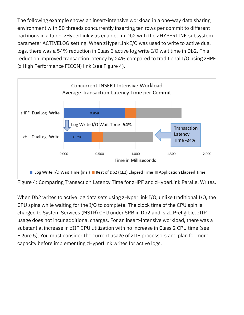The following example shows an insert-intensive workload in a one-way data sharing environment with 50 threads concurrently inserting ten rows per commit to different partitions in a table. zHyperLink was enabled in Db2 with the ZHYPERLINK subsystem parameter ACTIVELOG setting. When zHyperLink I/O was used to write to active dual logs, there was a 54% reduction in Class 3 active log write I/O wait time in Db2. This reduction improved transaction latency by 24% compared to traditional I/O using zHPF (z High Performance FICON) link (see Figure 4).



When Db2 writes to active log data sets using zHyperLink I/O, unlike traditional I/O, the CPU spins while waiting for the I/O to complete. The clock time of the CPU spin is charged to System Services (MSTR) CPU under SRB in Db2 and is zIIP-eligible. zIIP usage does not incur additional charges. For an insert-intensive workload, there was a substantial increase in zIIP CPU utilization with no increase in Class 2 CPU time (see Figure 5). You must consider the current usage of zIIP processors and plan for more capacity before implementing zHyperLink writes for active logs.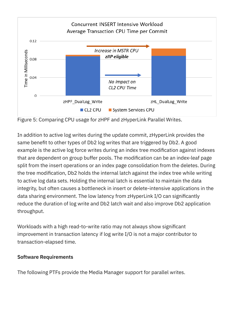

Figure 5: Comparing CPU usage for zHPF and zHyperLink Parallel Writes.

In addition to active log writes during the update commit, zHyperLink provides the same benefit to other types of Db2 log writes that are triggered by Db2. A good example is the active log force writes during an index tree modification against indexes that are dependent on group buffer pools. The modification can be an index-leaf page split from the insert operations or an index page consolidation from the deletes. During the tree modification, Db2 holds the internal latch against the index tree while writing to active log data sets. Holding the internal latch is essential to maintain the data integrity, but often causes a bottleneck in insert or delete-intensive applications in the data sharing environment. The low latency from zHyperLink I/O can significantly reduce the duration of log write and Db2 latch wait and also improve Db2 application throughput.

Workloads with a high read-to-write ratio may not always show significant improvement in transaction latency if log write I/O is not a major contributor to transaction-elapsed time.

#### **Software Requirements**

The following PTFs provide the Media Manager support for parallel writes.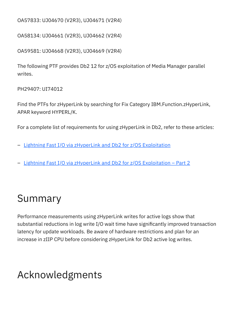OA57833: UJ04670 (V2R3), UJ04671 (V2R4)

OA58134: UJ04661 (V2R3), UJ04662 (V2R4)

OA59581: UJ04668 (V2R3), UJ04669 (V2R4)

The following PTF provides Db2 12 for z/OS exploitation of Media Manager parallel writes.

PH29407: UI74012

Find the PTFs for zHyperLink by searching for Fix Category IBM.Function.zHyperLink, APAR keyword HYPERL/K.

For a complete list of requirements for using zHyperLink in Db2, refer to these articles:

- [Lightning Fast I/O via zHyperLink and Db2 for z/OS Exploitation](https://www.planetmainframe.com/2019/08/lightning-fast-i-o-via-zhyperlink-and-db2-for-z-os-exploitation)
- [Lightning Fast I/O via zHyperLink and Db2 for z/OS Exploitation Part 2](https://www.planetmainframe.com/2019/08/lightning-fast-i-o-via-zhyperlink-and-db2-for-z-os-exploitation-part-2)

### Summary

Performance measurements using zHyperLink writes for active logs show that substantial reductions in log write I/O wait time have significantly improved transaction latency for update workloads. Be aware of hardware restrictions and plan for an increase in zIIP CPU before considering zHyperLink for Db2 active log writes.

#### Acknowledgments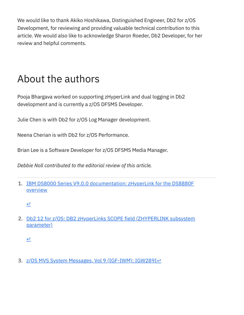We would like to thank Akiko Hoshikawa, Distinguished Engineer, Db2 for z/OS Development, for reviewing and providing valuable technical contribution to this article. We would also like to acknowledge Sharon Roeder, Db2 Developer, for her review and helpful comments.

### About the authors

Pooja Bhargava worked on supporting zHyperLink and dual logging in Db2 development and is currently a z/OS DFSMS Developer.

Julie Chen is with Db2 for z/OS Log Manager development.

Neena Cherian is with Db2 for z/OS Performance.

Brian Lee is a Software Developer for z/OS DFSMS Media Manager.

*Debbie Noll contributed to the editorial review of this article.*

<span id="page-9-0"></span>1. [IBM DS8000 Series V9.0.0 documentation: zHyperLink for the DS8880F](https://www.ibm.com/support/knowledgecenter/en/SSHGBU_9.0.0/com.ibm.storage.ssic.help.doc/f2c_zhyperlink_overview_rw.html) **overview** 

[↩](#page-2-0)

<span id="page-9-1"></span>2. [Db2 12 for z/OS: DB2 zHyperLinks SCOPE field \(ZHYPERLINK subsystem](https://www.ibm.com/docs/en/db2-for-zos/12?topic=panel-db2-zhyperlinks-scope-field-zhyperlink-subsystem-parameter) parameter)

 $\triangle$ 

<span id="page-9-2"></span>3. [z/OS MVS System Messages, Vol 9 \(IGF-IWM\): IGW289I](https://www.ibm.com/support/knowledgecenter/SSLTBW_2.4.0/com.ibm.zos.v2r4.ieam900/m2891.htm)e